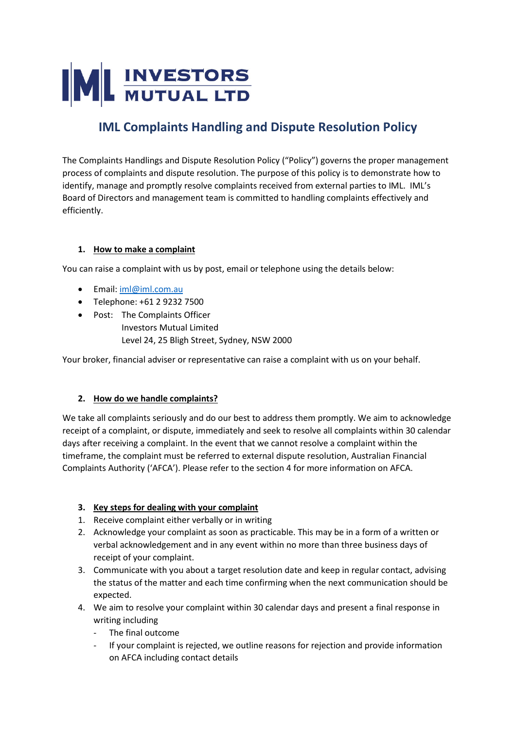# **ML INVESTORS**

## **IML Complaints Handling and Dispute Resolution Policy**

The Complaints Handlings and Dispute Resolution Policy ("Policy") governs the proper management process of complaints and dispute resolution. The purpose of this policy is to demonstrate how to identify, manage and promptly resolve complaints received from external parties to IML. IML's Board of Directors and management team is committed to handling complaints effectively and efficiently.

#### **1. How to make a complaint**

You can raise a complaint with us by post, email or telephone using the details below:

- Email: [iml@iml.com.au](mailto:iml@iml.com.au)
- Telephone: +61 2 9232 7500
- Post: The Complaints Officer Investors Mutual Limited Level 24, 25 Bligh Street, Sydney, NSW 2000

Your broker, financial adviser or representative can raise a complaint with us on your behalf.

#### **2. How do we handle complaints?**

We take all complaints seriously and do our best to address them promptly. We aim to acknowledge receipt of a complaint, or dispute, immediately and seek to resolve all complaints within 30 calendar days after receiving a complaint. In the event that we cannot resolve a complaint within the timeframe, the complaint must be referred to external dispute resolution, Australian Financial Complaints Authority ('AFCA'). Please refer to the section 4 for more information on AFCA.

### **3. Key steps for dealing with your complaint**

- 1. Receive complaint either verbally or in writing
- 2. Acknowledge your complaint as soon as practicable. This may be in a form of a written or verbal acknowledgement and in any event within no more than three business days of receipt of your complaint.
- 3. Communicate with you about a target resolution date and keep in regular contact, advising the status of the matter and each time confirming when the next communication should be expected.
- 4. We aim to resolve your complaint within 30 calendar days and present a final response in writing including
	- The final outcome
	- If your complaint is rejected, we outline reasons for rejection and provide information on AFCA including contact details